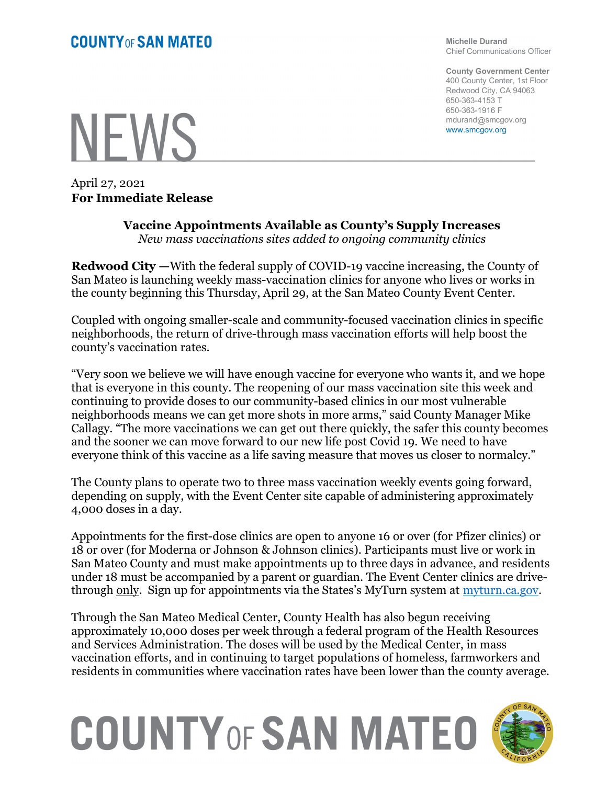**NEWS** 

April 27, 2021 For Immediate Release Michelle Durand Chief Communications Officer

County Government Center 400 County Center, 1st Floor Redwood City, CA 94063 650-363-4153 T 650-363-1916 F mdurand@smcgov.org www.smcgov.org

## Vaccine Appointments Available as County's Supply Increases

New mass vaccinations sites added to ongoing community clinics

Redwood City —With the federal supply of COVID-19 vaccine increasing, the County of San Mateo is launching weekly mass-vaccination clinics for anyone who lives or works in the county beginning this Thursday, April 29, at the San Mateo County Event Center.

Coupled with ongoing smaller-scale and community-focused vaccination clinics in specific neighborhoods, the return of drive-through mass vaccination efforts will help boost the county's vaccination rates.

"Very soon we believe we will have enough vaccine for everyone who wants it, and we hope that is everyone in this county. The reopening of our mass vaccination site this week and continuing to provide doses to our community-based clinics in our most vulnerable neighborhoods means we can get more shots in more arms," said County Manager Mike Callagy. "The more vaccinations we can get out there quickly, the safer this county becomes and the sooner we can move forward to our new life post Covid 19. We need to have everyone think of this vaccine as a life saving measure that moves us closer to normalcy."

The County plans to operate two to three mass vaccination weekly events going forward, depending on supply, with the Event Center site capable of administering approximately 4,000 doses in a day.

Appointments for the first-dose clinics are open to anyone 16 or over (for Pfizer clinics) or 18 or over (for Moderna or Johnson & Johnson clinics). Participants must live or work in San Mateo County and must make appointments up to three days in advance, and residents under 18 must be accompanied by a parent or guardian. The Event Center clinics are drivethrough only. Sign up for appointments via the States's MyTurn system at myturn.ca.gov.

Through the San Mateo Medical Center, County Health has also begun receiving approximately 10,000 doses per week through a federal program of the Health Resources and Services Administration. The doses will be used by the Medical Center, in mass vaccination efforts, and in continuing to target populations of homeless, farmworkers and residents in communities where vaccination rates have been lower than the county average.

## **COUNTY OF SAN MATEO**